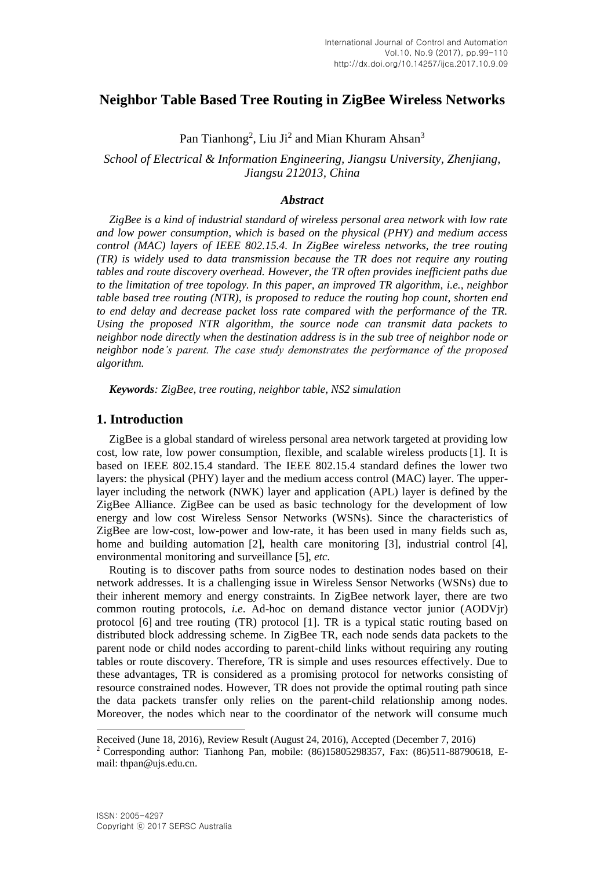# **Neighbor Table Based Tree Routing in ZigBee Wireless Networks**

Pan Tianhong<sup>2</sup>, Liu Ji<sup>2</sup> and Mian Khuram Ahsan<sup>3</sup>

*School of Electrical & Information Engineering, Jiangsu University, Zhenjiang, Jiangsu 212013, China* 

#### *Abstract*

*ZigBee is a kind of industrial standard of wireless personal area network with low rate and low power consumption, which is based on the physical (PHY) and medium access control (MAC) layers of IEEE 802.15.4. In ZigBee wireless networks, the tree routing (TR) is widely used to data transmission because the TR does not require any routing tables and route discovery overhead. However, the TR often provides inefficient paths due to the limitation of tree topology. In this paper, an improved TR algorithm, i.e., neighbor table based tree routing (NTR), is proposed to reduce the routing hop count, shorten end to end delay and decrease packet loss rate compared with the performance of the TR. Using the proposed NTR algorithm, the source node can transmit data packets to neighbor node directly when the destination address is in the sub tree of neighbor node or neighbor node's parent. The case study demonstrates the performance of the proposed algorithm.*

*Keywords: ZigBee, tree routing, neighbor table, NS2 simulation*

## **1. Introduction**

ZigBee is a global standard of wireless personal area network targeted at providing low cost, low rate, low power consumption, flexible, and scalable wireless products [1]. It is based on IEEE 802.15.4 standard. The IEEE 802.15.4 standard defines the lower two layers: the physical (PHY) layer and the medium access control (MAC) layer. The upperlayer including the network (NWK) layer and application (APL) layer is defined by the ZigBee Alliance. ZigBee can be used as basic technology for the development of low energy and low cost Wireless Sensor Networks (WSNs). Since the characteristics of ZigBee are low-cost, low-power and low-rate, it has been used in many fields such as, home and building automation [2], health care monitoring [3], industrial control [4], environmental monitoring and surveillance [5], *etc.*

Routing is to discover paths from source nodes to destination nodes based on their network addresses. It is a challenging issue in Wireless Sensor Networks (WSNs) due to their inherent memory and energy constraints. In ZigBee network layer, there are two common routing protocols, *i.e*. Ad-hoc on demand distance vector junior (AODVjr) protocol [6] and tree routing (TR) protocol [1]. TR is a typical static routing based on distributed block addressing scheme. In ZigBee TR, each node sends data packets to the parent node or child nodes according to parent-child links without requiring any routing tables or route discovery. Therefore, TR is simple and uses resources effectively. Due to these advantages, TR is considered as a promising protocol for networks consisting of resource constrained nodes. However, TR does not provide the optimal routing path since the data packets transfer only relies on the parent-child relationship among nodes. Moreover, the nodes which near to the coordinator of the network will consume much

 $\overline{a}$ 

Received (June 18, 2016), Review Result (August 24, 2016), Accepted (December 7, 2016)

<sup>2</sup> Corresponding author: Tianhong Pan, mobile: (86)15805298357, Fax: (86)511-88790618, Email: thpan@ujs.edu.cn.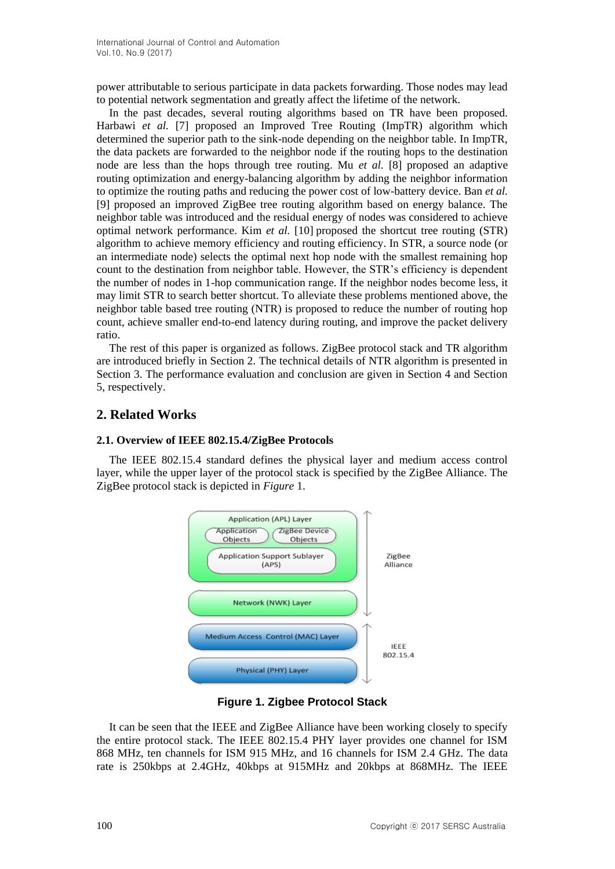power attributable to serious participate in data packets forwarding. Those nodes may lead to potential network segmentation and greatly affect the lifetime of the network.

In the past decades, several routing algorithms based on TR have been proposed. Harbawi *et al.* [7] proposed an Improved Tree Routing (ImpTR) algorithm which determined the superior path to the sink-node depending on the neighbor table. In ImpTR, the data packets are forwarded to the neighbor node if the routing hops to the destination node are less than the hops through tree routing. Mu *et al.* [8] proposed an adaptive routing optimization and energy-balancing algorithm by adding the neighbor information to optimize the routing paths and reducing the power cost of low-battery device. Ban *et al.* [9] proposed an improved ZigBee tree routing algorithm based on energy balance. The neighbor table was introduced and the residual energy of nodes was considered to achieve optimal network performance. Kim *et al.* [10] proposed the shortcut tree routing (STR) algorithm to achieve memory efficiency and routing efficiency. In STR, a source node (or an intermediate node) selects the optimal next hop node with the smallest remaining hop count to the destination from neighbor table. However, the STR's efficiency is dependent the number of nodes in 1-hop communication range. If the neighbor nodes become less, it may limit STR to search better shortcut. To alleviate these problems mentioned above, the neighbor table based tree routing (NTR) is proposed to reduce the number of routing hop count, achieve smaller end-to-end latency during routing, and improve the packet delivery ratio.

The rest of this paper is organized as follows. ZigBee protocol stack and TR algorithm are introduced briefly in Section 2. The technical details of NTR algorithm is presented in Section 3. The performance evaluation and conclusion are given in Section 4 and Section 5, respectively.

## **2. Related Works**

## **2.1. Overview of IEEE 802.15.4/ZigBee Protocols**

The IEEE 802.15.4 standard defines the physical layer and medium access control layer, while the upper layer of the protocol stack is specified by the ZigBee Alliance. The ZigBee protocol stack is depicted in *Figure* 1.



**Figure 1. Zigbee Protocol Stack**

It can be seen that the IEEE and ZigBee Alliance have been working closely to specify the entire protocol stack. The IEEE 802.15.4 PHY layer provides one channel for ISM 868 MHz, ten channels for ISM 915 MHz, and 16 channels for ISM 2.4 GHz. The data rate is 250kbps at 2.4GHz, 40kbps at 915MHz and 20kbps at 868MHz. The IEEE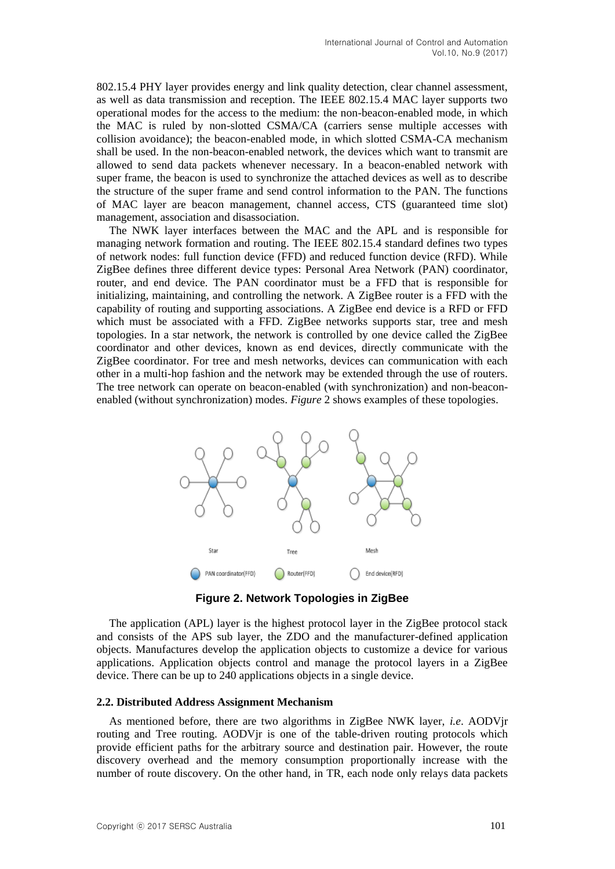802.15.4 PHY layer provides energy and link quality detection, clear channel assessment, as well as data transmission and reception. The IEEE 802.15.4 MAC layer supports two operational modes for the access to the medium: the non-beacon-enabled mode, in which the MAC is ruled by non-slotted CSMA/CA (carriers sense multiple accesses with collision avoidance); the beacon-enabled mode, in which slotted CSMA-CA mechanism shall be used. In the non-beacon-enabled network, the devices which want to transmit are allowed to send data packets whenever necessary. In a beacon-enabled network with super frame, the beacon is used to synchronize the attached devices as well as to describe the structure of the super frame and send control information to the PAN. The functions of MAC layer are beacon management, channel access, CTS (guaranteed time slot) management, association and disassociation.

The NWK layer interfaces between the MAC and the APL and is responsible for managing network formation and routing. The IEEE 802.15.4 standard defines two types of network nodes: full function device (FFD) and reduced function device (RFD). While ZigBee defines three different device types: Personal Area Network (PAN) coordinator, router, and end device. The PAN coordinator must be a FFD that is responsible for initializing, maintaining, and controlling the network. A ZigBee router is a FFD with the capability of routing and supporting associations. A ZigBee end device is a RFD or FFD which must be associated with a FFD. ZigBee networks supports star, tree and mesh topologies. In a star network, the network is controlled by one device called the ZigBee coordinator and other devices, known as end devices, directly communicate with the ZigBee coordinator. For tree and mesh networks, devices can communication with each other in a multi-hop fashion and the network may be extended through the use of routers. The tree network can operate on beacon-enabled (with synchronization) and non-beaconenabled (without synchronization) modes. *Figure* 2 shows examples of these topologies.



**Figure 2. Network Topologies in ZigBee**

The application (APL) layer is the highest protocol layer in the ZigBee protocol stack and consists of the APS sub layer, the ZDO and the manufacturer-defined application objects. Manufactures develop the application objects to customize a device for various applications. Application objects control and manage the protocol layers in a ZigBee device. There can be up to 240 applications objects in a single device.

## **2.2. Distributed Address Assignment Mechanism**

As mentioned before, there are two algorithms in ZigBee NWK layer, *i.e*. AODVjr routing and Tree routing. AODVjr is one of the table-driven routing protocols which provide efficient paths for the arbitrary source and destination pair. However, the route discovery overhead and the memory consumption proportionally increase with the number of route discovery. On the other hand, in TR, each node only relays data packets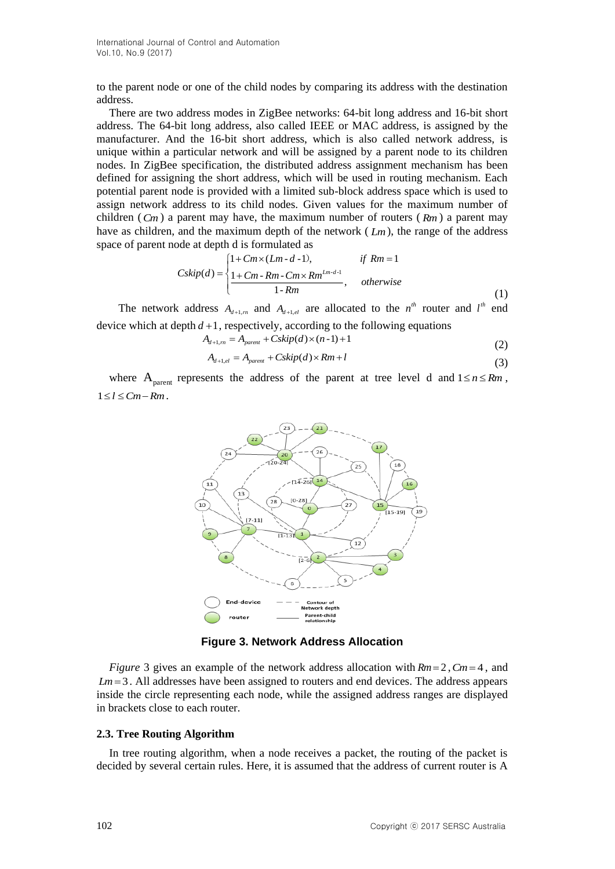to the parent node or one of the child nodes by comparing its address with the destination address.

There are two address modes in ZigBee networks: 64-bit long address and 16-bit short address. The 64-bit long address, also called IEEE or MAC address, is assigned by the manufacturer. And the 16-bit short address, which is also called network address, is unique within a particular network and will be assigned by a parent node to its children nodes. In ZigBee specification, the distributed address assignment mechanism has been defined for assigning the short address, which will be used in routing mechanism. Each potential parent node is provided with a limited sub-block address space which is used to assign network address to its child nodes. Given values for the maximum number of children  $(Cm)$  a parent may have, the maximum number of routers  $(Rm)$  a parent may have as children, and the maximum depth of the network ( *Lm* ), the range of the address space of parent node at depth d is formulated as

$$
Cskip(d) = \begin{cases} 1 + Cm \times (Lm - d - 1), & \text{if } Rm = 1\\ \frac{1 + Cm - Rm - Cm \times Rm^{Lm - d - 1}}{1 - Rm}, & \text{otherwise} \end{cases}
$$
(1)

The network address  $A_{d+1,m}$  and  $A_{d+1,e}$  are allocated to the  $n^{th}$  router and  $l^{th}$  end device which at depth  $d+1$ , respectively, according to the following equations

$$
A_{d+1,m} = A_{parent} + Cskip(d) \times (n-1) + 1
$$
\n(2)

$$
A_{d+1,el} = A_{parent} + Cskip(d) \times Rm + l
$$
\n(3)

where  $A_{\text{parent}}$  represents the address of the parent at tree level d and  $1 \le n \le Rm$ ,  $1 \leq l \leq Cm - Rm$ .



**Figure 3. Network Address Allocation**

*Figure* 3 gives an example of the network address allocation with  $Rm = 2$ ,  $Cm = 4$ , and  $Lm = 3$ . All addresses have been assigned to routers and end devices. The address appears inside the circle representing each node, while the assigned address ranges are displayed in brackets close to each router.

#### **2.3. Tree Routing Algorithm**

In tree routing algorithm, when a node receives a packet, the routing of the packet is decided by several certain rules. Here, it is assumed that the address of current router is A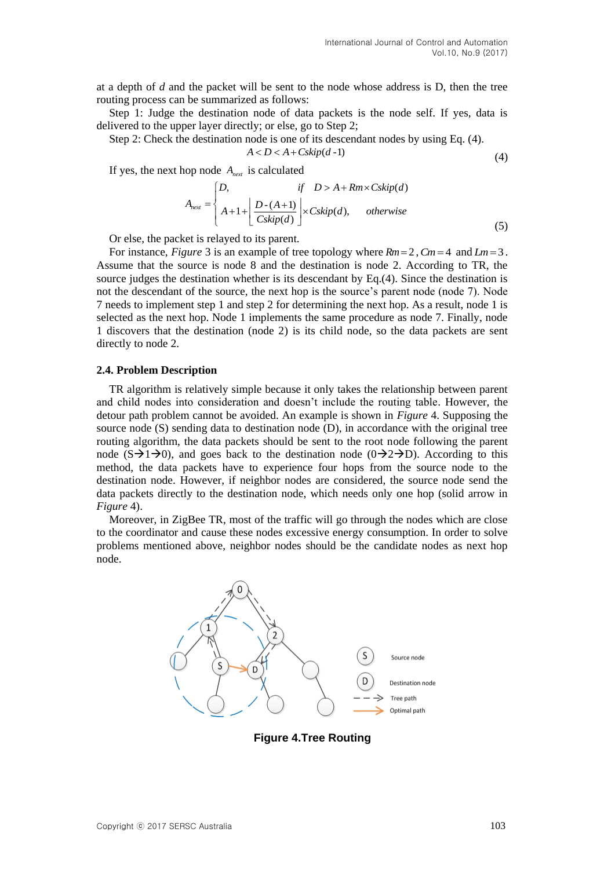at a depth of *d* and the packet will be sent to the node whose address is D, then the tree routing process can be summarized as follows:

Step 1: Judge the destination node of data packets is the node self. If yes, data is delivered to the upper layer directly; or else, go to Step 2;

Step 2: Check the destination node is one of its descendant nodes by using Eq. (4).

$$
A < D < A + Cskip(d-1) \tag{4}
$$

If yes, the next hop node *Anext* is calculated

$$
A_{\text{next}} = \begin{cases} D, & \text{if } D > A + Rm \times C \text{skip}(d) \\ A + 1 + \left[ \frac{D - (A + 1)}{C \text{skip}(d)} \right] \times C \text{skip}(d), & \text{otherwise} \end{cases} \tag{5}
$$

Or else, the packet is relayed to its parent.

For instance, *Figure* 3 is an example of tree topology where  $Rm = 2$ ,  $Cm = 4$  and  $Lm = 3$ . Assume that the source is node 8 and the destination is node 2. According to TR, the source judges the destination whether is its descendant by Eq.(4). Since the destination is not the descendant of the source, the next hop is the source's parent node (node 7). Node 7 needs to implement step 1 and step 2 for determining the next hop. As a result, node 1 is selected as the next hop. Node 1 implements the same procedure as node 7. Finally, node 1 discovers that the destination (node 2) is its child node, so the data packets are sent directly to node 2.

#### **2.4. Problem Description**

TR algorithm is relatively simple because it only takes the relationship between parent and child nodes into consideration and doesn't include the routing table. However, the detour path problem cannot be avoided. An example is shown in *Figure* 4. Supposing the source node (S) sending data to destination node (D), in accordance with the original tree routing algorithm, the data packets should be sent to the root node following the parent node  $(S=1)$ , and goes back to the destination node  $(0\rightarrow 2)$ . According to this method, the data packets have to experience four hops from the source node to the destination node. However, if neighbor nodes are considered, the source node send the data packets directly to the destination node, which needs only one hop (solid arrow in *Figure* 4).

Moreover, in ZigBee TR, most of the traffic will go through the nodes which are close to the coordinator and cause these nodes excessive energy consumption. In order to solve problems mentioned above, neighbor nodes should be the candidate nodes as next hop node.



**Figure 4.Tree Routing**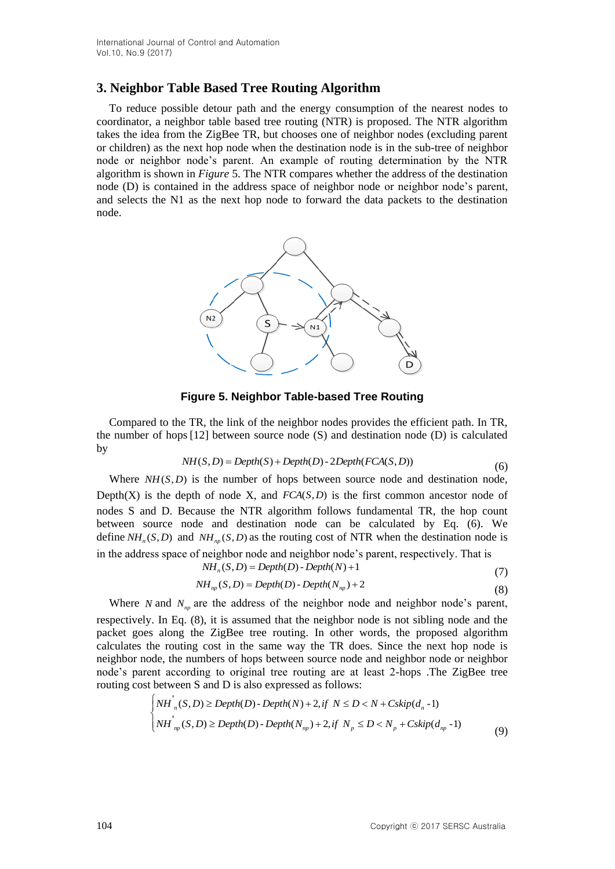## **3. Neighbor Table Based Tree Routing Algorithm**

To reduce possible detour path and the energy consumption of the nearest nodes to coordinator, a neighbor table based tree routing (NTR) is proposed. The NTR algorithm takes the idea from the ZigBee TR, but chooses one of neighbor nodes (excluding parent or children) as the next hop node when the destination node is in the sub-tree of neighbor node or neighbor node's parent. An example of routing determination by the NTR algorithm is shown in *Figure* 5. The NTR compares whether the address of the destination node (D) is contained in the address space of neighbor node or neighbor node's parent, and selects the N1 as the next hop node to forward the data packets to the destination node.



**Figure 5. Neighbor Table-based Tree Routing**

Compared to the TR, the link of the neighbor nodes provides the efficient path. In TR, the number of hops [12] between source node (S) and destination node (D) is calculated by

$$
NH(S, D) = Depth(S) + Depth(D) - 2Depth(FCA(S, D))
$$
\n(6)

Where  $NH(S, D)$  is the number of hops between source node and destination node, Depth $(X)$  is the depth of node X, and  $FCA(S, D)$  is the first common ancestor node of nodes S and D. Because the NTR algorithm follows fundamental TR, the hop count between source node and destination node can be calculated by Eq. (6). We define  $NH_n(S, D)$  and  $NH_{np}(S, D)$  as the routing cost of NTR when the destination node is in the address space of neighbor node and neighbor node's parent, respectively. That is

$$
NHn(S,D) = Depth(D) - Depth(N) + 1
$$
\n(7)

$$
NH_{np}(S,D) = Depth(D) - Depth(N_{np}) + 2
$$
\n(8)

Where *N* and  $N_{np}$  are the address of the neighbor node and neighbor node's parent,

respectively. In Eq. (8), it is assumed that the neighbor node is not sibling node and the packet goes along the ZigBee tree routing. In other words, the proposed algorithm calculates the routing cost in the same way the TR does. Since the next hop node is neighbor node, the numbers of hops between source node and neighbor node or neighbor node's parent according to original tree routing are at least 2-hops .The ZigBee tree routing cost between S and D is also expressed as follows:

$$
\begin{cases}\nNH_n(S,D) \ge \text{Depth}(D) - \text{Depth}(N) + 2, \text{if } N \le D < N + Cskip(d_n - 1) \\
NH_{np}(S,D) \ge \text{Depth}(D) - \text{Depth}(N_{np}) + 2, \text{if } N_p \le D < N_p + Cskip(d_{np} - 1)\n\end{cases} \tag{9}
$$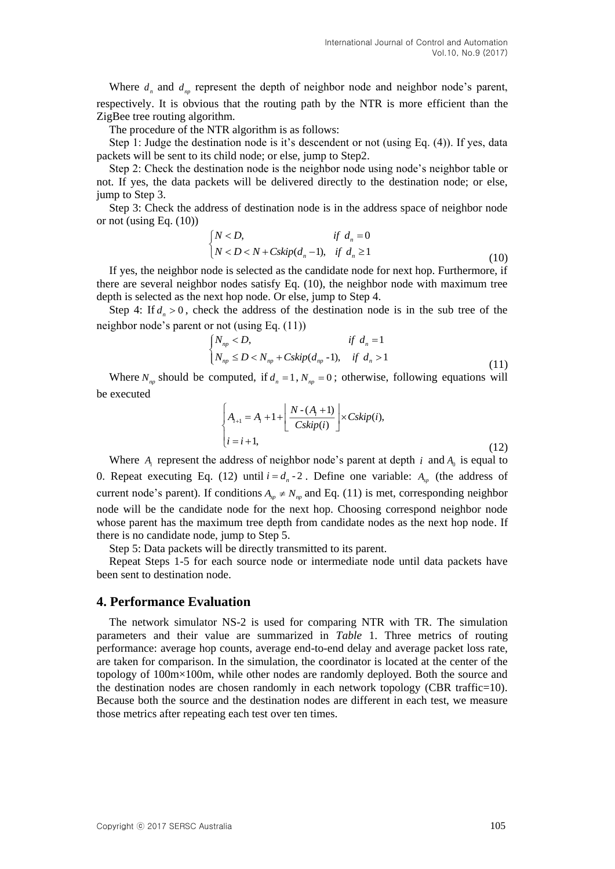Where  $d_n$  and  $d_{np}$  represent the depth of neighbor node and neighbor node's parent, respectively. It is obvious that the routing path by the NTR is more efficient than the ZigBee tree routing algorithm.

The procedure of the NTR algorithm is as follows:

Step 1: Judge the destination node is it's descendent or not (using Eq. (4)). If yes, data packets will be sent to its child node; or else, jump to Step2.

Step 2: Check the destination node is the neighbor node using node's neighbor table or not. If yes, the data packets will be delivered directly to the destination node; or else, jump to Step 3.

Step 3: Check the address of destination node is in the address space of neighbor node or not (using Eq. (10))

$$
\begin{cases}\nN < D, \\
N < D < N + Cskip(d_n - 1), \quad \text{if } d_n \ge 1\n\end{cases} \tag{10}
$$

If yes, the neighbor node is selected as the candidate node for next hop. Furthermore, if there are several neighbor nodes satisfy Eq. (10), the neighbor node with maximum tree depth is selected as the next hop node. Or else, jump to Step 4.

Step 4: If  $d_n > 0$ , check the address of the destination node is in the sub tree of the neighbor node's parent or not (using Eq. (11))

$$
\begin{cases}\nN_{np} < D, \\
N_{np} \le D < N_{np} + Cskip(d_{np} - 1), \quad \text{if } d_n > 1\n\end{cases} \tag{11}
$$

Where  $N_{np}$  should be computed, if  $d_n = 1$ ,  $N_{np} = 0$ ; otherwise, following equations will be executed

$$
\begin{cases} A_{i+1} = A_i + 1 + \left\lfloor \frac{N - (A_i + 1)}{Cskip(i)} \right\rfloor \times Cskip(i), \\ i = i + 1, \end{cases}
$$
\n(12)

Where  $A_i$  represent the address of neighbor node's parent at depth *i* and  $A_0$  is equal to 0. Repeat executing Eq. (12) until  $i = d_n - 2$ . Define one variable:  $A_{sp}$  (the address of current node's parent). If conditions  $A_{sp} \neq N_{np}$  and Eq. (11) is met, corresponding neighbor node will be the candidate node for the next hop. Choosing correspond neighbor node whose parent has the maximum tree depth from candidate nodes as the next hop node. If there is no candidate node, jump to Step 5.

Step 5: Data packets will be directly transmitted to its parent.

Repeat Steps 1-5 for each source node or intermediate node until data packets have been sent to destination node.

## **4. Performance Evaluation**

The network simulator NS-2 is used for comparing NTR with TR. The simulation parameters and their value are summarized in *Table* 1. Three metrics of routing performance: average hop counts, average end-to-end delay and average packet loss rate, are taken for comparison. In the simulation, the coordinator is located at the center of the topology of 100m×100m, while other nodes are randomly deployed. Both the source and the destination nodes are chosen randomly in each network topology (CBR traffic=10). Because both the source and the destination nodes are different in each test, we measure those metrics after repeating each test over ten times.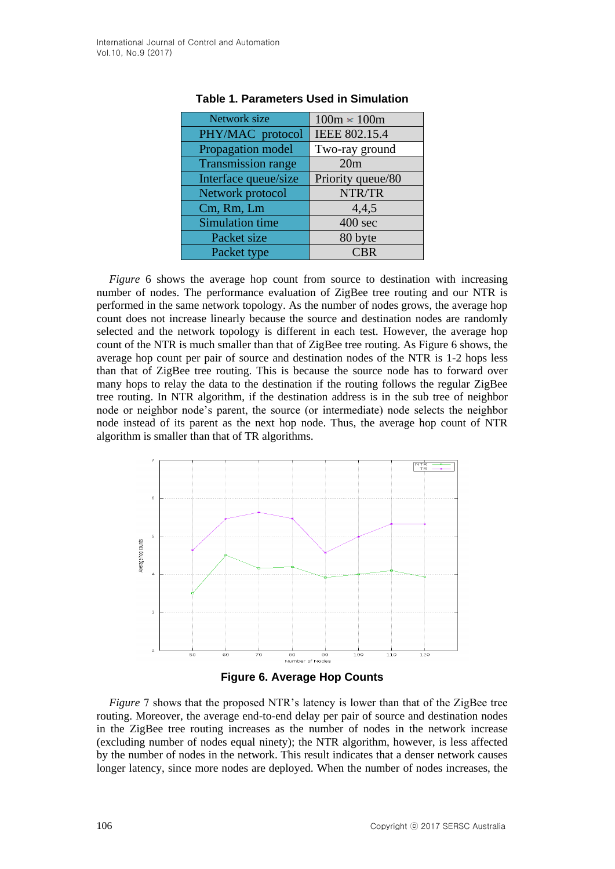| $100m \times 100m$ |
|--------------------|
| IEEE 802.15.4      |
| Two-ray ground     |
| 20m                |
| Priority queue/80  |
| NTR/TR             |
| 4,4,5              |
| $400$ sec          |
| 80 byte            |
| CBR                |
|                    |

#### **Table 1. Parameters Used in Simulation**

*Figure* 6 shows the average hop count from source to destination with increasing number of nodes. The performance evaluation of ZigBee tree routing and our NTR is performed in the same network topology. As the number of nodes grows, the average hop count does not increase linearly because the source and destination nodes are randomly selected and the network topology is different in each test. However, the average hop count of the NTR is much smaller than that of ZigBee tree routing. As Figure 6 shows, the average hop count per pair of source and destination nodes of the NTR is 1-2 hops less than that of ZigBee tree routing. This is because the source node has to forward over many hops to relay the data to the destination if the routing follows the regular ZigBee tree routing. In NTR algorithm, if the destination address is in the sub tree of neighbor node or neighbor node's parent, the source (or intermediate) node selects the neighbor node instead of its parent as the next hop node. Thus, the average hop count of NTR algorithm is smaller than that of TR algorithms.





*Figure* 7 shows that the proposed NTR's latency is lower than that of the ZigBee tree routing. Moreover, the average end-to-end delay per pair of source and destination nodes in the ZigBee tree routing increases as the number of nodes in the network increase (excluding number of nodes equal ninety); the NTR algorithm, however, is less affected by the number of nodes in the network. This result indicates that a denser network causes longer latency, since more nodes are deployed. When the number of nodes increases, the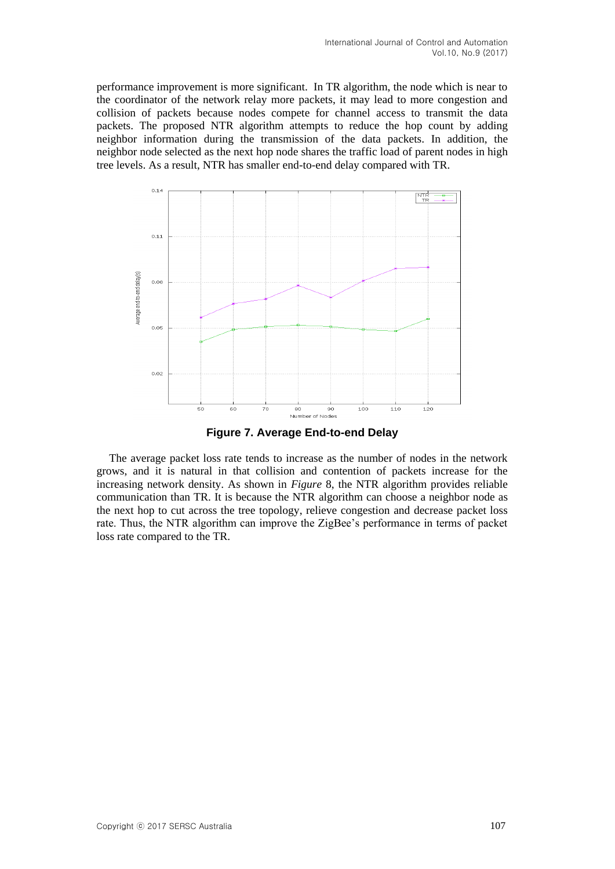performance improvement is more significant. In TR algorithm, the node which is near to the coordinator of the network relay more packets, it may lead to more congestion and collision of packets because nodes compete for channel access to transmit the data packets. The proposed NTR algorithm attempts to reduce the hop count by adding neighbor information during the transmission of the data packets. In addition, the neighbor node selected as the next hop node shares the traffic load of parent nodes in high tree levels. As a result, NTR has smaller end-to-end delay compared with TR.



**Figure 7. Average End-to-end Delay**

The average packet loss rate tends to increase as the number of nodes in the network grows, and it is natural in that collision and contention of packets increase for the increasing network density. As shown in *Figure* 8, the NTR algorithm provides reliable communication than TR. It is because the NTR algorithm can choose a neighbor node as the next hop to cut across the tree topology, relieve congestion and decrease packet loss rate. Thus, the NTR algorithm can improve the ZigBee's performance in terms of packet loss rate compared to the TR.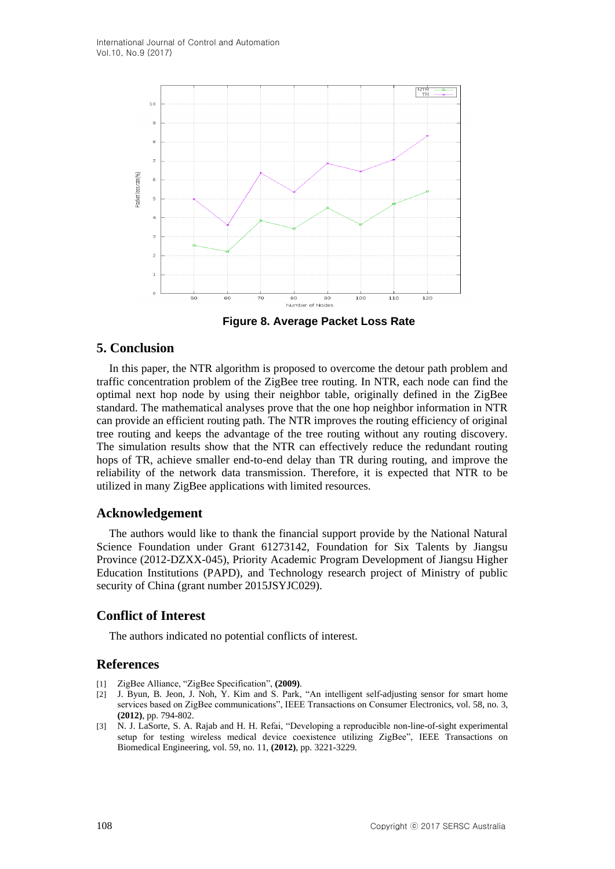

**Figure 8. Average Packet Loss Rate**

## **5. Conclusion**

In this paper, the NTR algorithm is proposed to overcome the detour path problem and traffic concentration problem of the ZigBee tree routing. In NTR, each node can find the optimal next hop node by using their neighbor table, originally defined in the ZigBee standard. The mathematical analyses prove that the one hop neighbor information in NTR can provide an efficient routing path. The NTR improves the routing efficiency of original tree routing and keeps the advantage of the tree routing without any routing discovery. The simulation results show that the NTR can effectively reduce the redundant routing hops of TR, achieve smaller end-to-end delay than TR during routing, and improve the reliability of the network data transmission. Therefore, it is expected that NTR to be utilized in many ZigBee applications with limited resources.

## **Acknowledgement**

The authors would like to thank the financial support provide by the National Natural Science Foundation under Grant 61273142, Foundation for Six Talents by Jiangsu Province (2012-DZXX-045), Priority Academic Program Development of Jiangsu Higher Education Institutions (PAPD), and Technology research project of Ministry of public security of China (grant number 2015JSYJC029).

## **Conflict of Interest**

The authors indicated no potential conflicts of interest.

## **References**

- [1] ZigBee Alliance, "ZigBee Specification", **(2009)**.
- [2] J. Byun, B. Jeon, J. Noh, Y. Kim and S. Park, "An intelligent self-adjusting sensor for smart home services based on ZigBee communications", IEEE Transactions on Consumer Electronics, vol. 58, no. 3, **(2012)**, pp. 794-802.
- [3] N. J. LaSorte, S. A. Rajab and H. H. Refai, "Developing a reproducible non-line-of-sight experimental setup for testing wireless medical device coexistence utilizing ZigBee", IEEE Transactions on Biomedical Engineering, vol. 59, no. 11, **(2012)**, pp. 3221-3229.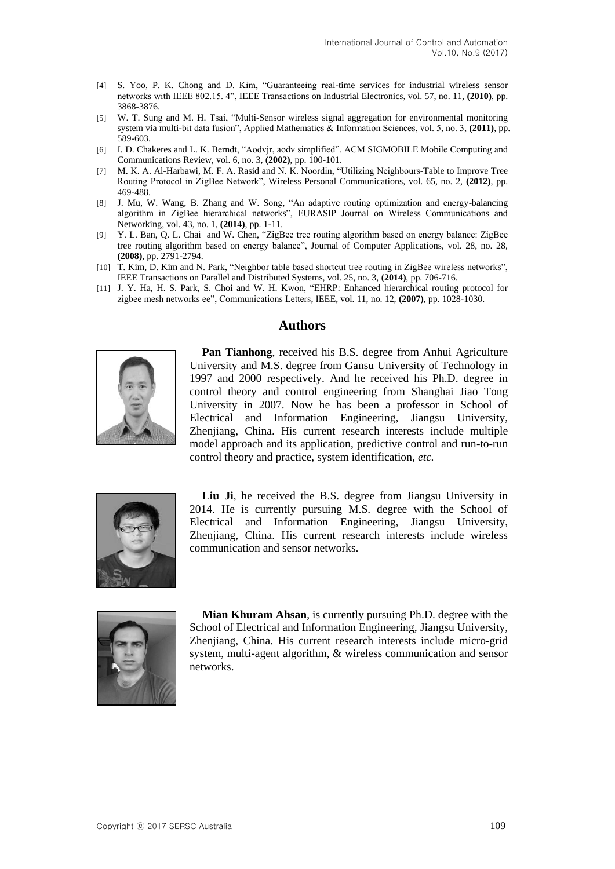- [4] S. Yoo, P. K. Chong and D. Kim, "Guaranteeing real-time services for industrial wireless sensor networks with IEEE 802.15. 4", IEEE Transactions on Industrial Electronics, vol. 57, no. 11, **(2010)**, pp. 3868-3876.
- [5] W. T. Sung and M. H. Tsai, "Multi-Sensor wireless signal aggregation for environmental monitoring system via multi-bit data fusion", Applied Mathematics & Information Sciences, vol. 5, no. 3, **(2011)**, pp. 589-603.
- [6] I. D. Chakeres and L. K. Berndt, "Aodvjr, aodv simplified". ACM SIGMOBILE Mobile Computing and Communications Review, vol. 6, no. 3, **(2002)**, pp. 100-101.
- [7] M. K. A. Al-Harbawi, M. F. A. Rasid and N. K. Noordin, "Utilizing Neighbours-Table to Improve Tree Routing Protocol in ZigBee Network", Wireless Personal Communications, vol. 65, no. 2, **(2012)**, pp. 469-488.
- [8] J. Mu, W. Wang, B. Zhang and W. Song, "An adaptive routing optimization and energy-balancing algorithm in ZigBee hierarchical networks", EURASIP Journal on Wireless Communications and Networking, vol. 43, no. 1, **(2014)**, pp. 1-11.
- [9] Y. L. Ban, Q. L. Chai and W. Chen, "ZigBee tree routing algorithm based on energy balance: ZigBee tree routing algorithm based on energy balance", Journal of Computer Applications, vol. 28, no. 28, **(2008)**, pp. 2791-2794.
- [10] T. Kim, D. Kim and N. Park, "Neighbor table based shortcut tree routing in ZigBee wireless networks", IEEE Transactions on Parallel and Distributed Systems, vol. 25, no. 3, **(2014)**, pp. 706-716.
- [11] J. Y. Ha, H. S. Park, S. Choi and W. H. Kwon, "EHRP: Enhanced hierarchical routing protocol for zigbee mesh networks ee", Communications Letters, IEEE, vol. 11, no. 12, **(2007)**, pp. 1028-1030.

## **Authors**



**Pan Tianhong**, received his B.S. degree from Anhui Agriculture University and M.S. degree from Gansu University of Technology in 1997 and 2000 respectively. And he received his Ph.D. degree in control theory and control engineering from Shanghai Jiao Tong University in 2007. Now he has been a professor in School of Electrical and Information Engineering, Jiangsu University, Zhenjiang, China. His current research interests include multiple model approach and its application, predictive control and run-to-run control theory and practice, system identification, *etc.*



**Liu Ji**, he received the B.S. degree from Jiangsu University in 2014. He is currently pursuing M.S. degree with the School of Electrical and Information Engineering, Jiangsu University, Zhenjiang, China. His current research interests include wireless communication and sensor networks.



**Mian Khuram Ahsan**, is currently pursuing Ph.D. degree with the School of Electrical and Information Engineering, Jiangsu University, Zhenjiang, China. His current research interests include micro-grid system, multi-agent algorithm, & wireless communication and sensor networks.